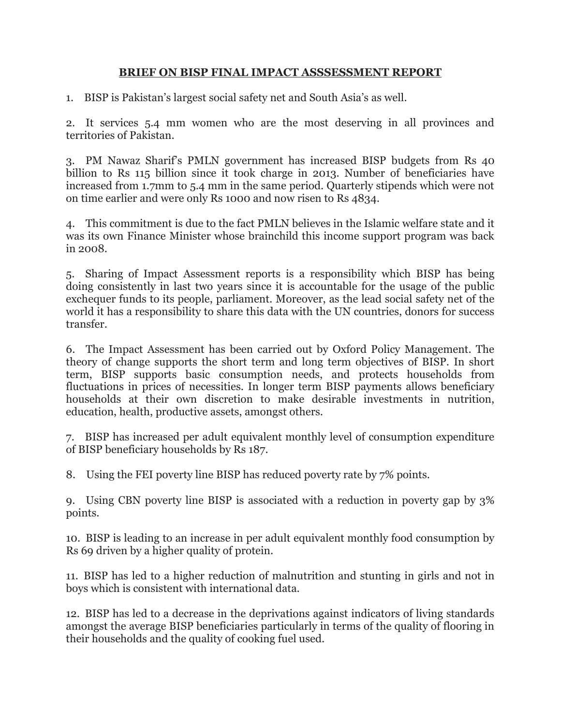## **BRIEF ON BISP FINAL IMPACT ASSSESSMENT REPORT**

1. BISP is Pakistan's largest social safety net and South Asia's as well.

2. It services 5.4 mm women who are the most deserving in all provinces and territories of Pakistan.

3. PM Nawaz Sharif's PMLN government has increased BISP budgets from Rs 40 billion to Rs 115 billion since it took charge in 2013. Number of beneficiaries have increased from 1.7mm to 5.4 mm in the same period. Quarterly stipends which were not on time earlier and were only Rs 1000 and now risen to Rs 4834.

4. This commitment is due to the fact PMLN believes in the Islamic welfare state and it was its own Finance Minister whose brainchild this income support program was back in 2008.

5. Sharing of Impact Assessment reports is a responsibility which BISP has being doing consistently in last two years since it is accountable for the usage of the public exchequer funds to its people, parliament. Moreover, as the lead social safety net of the world it has a responsibility to share this data with the UN countries, donors for success transfer.

6. The Impact Assessment has been carried out by Oxford Policy Management. The theory of change supports the short term and long term objectives of BISP. In short term, BISP supports basic consumption needs, and protects households from fluctuations in prices of necessities. In longer term BISP payments allows beneficiary households at their own discretion to make desirable investments in nutrition, education, health, productive assets, amongst others.

7. BISP has increased per adult equivalent monthly level of consumption expenditure of BISP beneficiary households by Rs 187.

8. Using the FEI poverty line BISP has reduced poverty rate by 7% points.

9. Using CBN poverty line BISP is associated with a reduction in poverty gap by 3% points.

10. BISP is leading to an increase in per adult equivalent monthly food consumption by Rs 69 driven by a higher quality of protein.

11. BISP has led to a higher reduction of malnutrition and stunting in girls and not in boys which is consistent with international data.

12. BISP has led to a decrease in the deprivations against indicators of living standards amongst the average BISP beneficiaries particularly in terms of the quality of flooring in their households and the quality of cooking fuel used.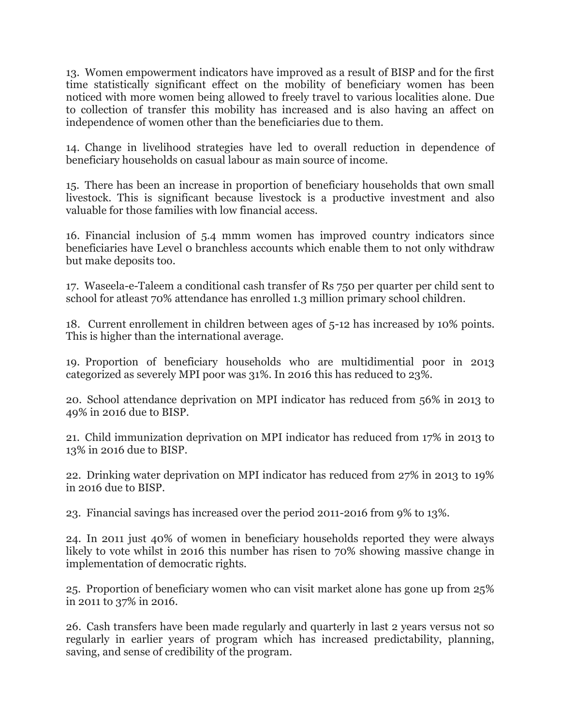13. Women empowerment indicators have improved as a result of BISP and for the first time statistically significant effect on the mobility of beneficiary women has been noticed with more women being allowed to freely travel to various localities alone. Due to collection of transfer this mobility has increased and is also having an affect on independence of women other than the beneficiaries due to them.

14. Change in livelihood strategies have led to overall reduction in dependence of beneficiary households on casual labour as main source of income.

15. There has been an increase in proportion of beneficiary households that own small livestock. This is significant because livestock is a productive investment and also valuable for those families with low financial access.

16. Financial inclusion of 5.4 mmm women has improved country indicators since beneficiaries have Level 0 branchless accounts which enable them to not only withdraw but make deposits too.

17. Waseela-e-Taleem a conditional cash transfer of Rs 750 per quarter per child sent to school for atleast 70% attendance has enrolled 1.3 million primary school children.

18. Current enrollement in children between ages of 5-12 has increased by 10% points. This is higher than the international average.

19. Proportion of beneficiary households who are multidimential poor in 2013 categorized as severely MPI poor was 31%. In 2016 this has reduced to 23%.

20. School attendance deprivation on MPI indicator has reduced from 56% in 2013 to 49% in 2016 due to BISP.

21. Child immunization deprivation on MPI indicator has reduced from 17% in 2013 to 13% in 2016 due to BISP.

22. Drinking water deprivation on MPI indicator has reduced from 27% in 2013 to 19% in 2016 due to BISP.

23. Financial savings has increased over the period 2011-2016 from 9% to 13%.

24. In 2011 just 40% of women in beneficiary households reported they were always likely to vote whilst in 2016 this number has risen to 70% showing massive change in implementation of democratic rights.

25. Proportion of beneficiary women who can visit market alone has gone up from 25% in 2011 to 37% in 2016.

26. Cash transfers have been made regularly and quarterly in last 2 years versus not so regularly in earlier years of program which has increased predictability, planning, saving, and sense of credibility of the program.